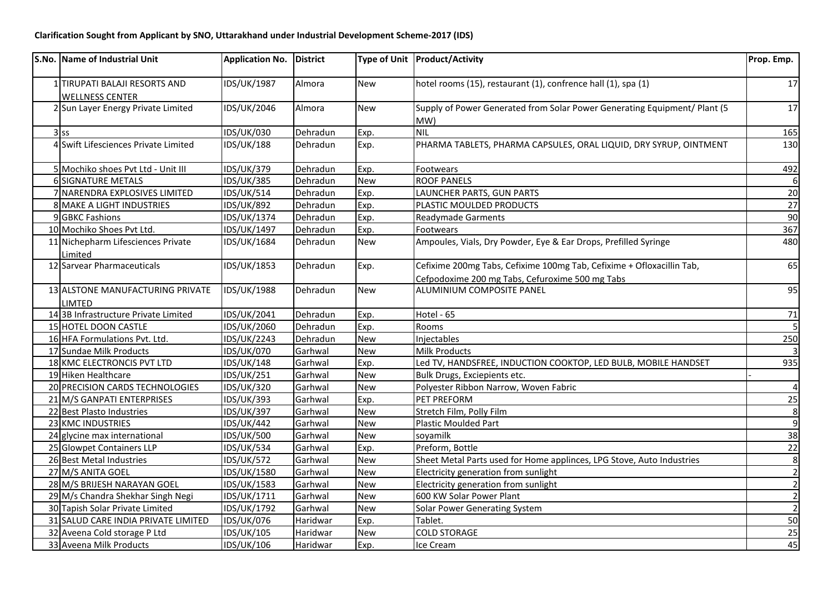| S.No. Name of Industrial Unit                           | Application No. District |          |            | Type of Unit   Product/Activity                                                                                          | Prop. Emp.     |
|---------------------------------------------------------|--------------------------|----------|------------|--------------------------------------------------------------------------------------------------------------------------|----------------|
| 1 TIRUPATI BALAJI RESORTS AND<br><b>WELLNESS CENTER</b> | <b>IDS/UK/1987</b>       | Almora   | <b>New</b> | hotel rooms (15), restaurant (1), confrence hall (1), spa (1)                                                            | 17             |
| 2 Sun Layer Energy Private Limited                      | IDS/UK/2046              | Almora   | <b>New</b> | Supply of Power Generated from Solar Power Generating Equipment/ Plant (5<br>MW)                                         | 17             |
| $3$ ss                                                  | IDS/UK/030               | Dehradun | Exp.       | <b>NIL</b>                                                                                                               | 165            |
| 4 Swift Lifesciences Private Limited                    | <b>IDS/UK/188</b>        | Dehradun | Exp.       | PHARMA TABLETS, PHARMA CAPSULES, ORAL LIQUID, DRY SYRUP, OINTMENT                                                        | 130            |
| 5 Mochiko shoes Pvt Ltd - Unit III                      | <b>IDS/UK/379</b>        | Dehradun | Exp.       | Footwears                                                                                                                | 492            |
| <b>6 SIGNATURE METALS</b>                               | <b>IDS/UK/385</b>        | Dehradun | <b>New</b> | <b>ROOF PANELS</b>                                                                                                       | $6 \mid$       |
| 7 NARENDRA EXPLOSIVES LIMITED                           | <b>IDS/UK/514</b>        | Dehradun | Exp.       | LAUNCHER PARTS, GUN PARTS                                                                                                | 20             |
| 8 MAKE A LIGHT INDUSTRIES                               | <b>IDS/UK/892</b>        | Dehradun | Exp.       | PLASTIC MOULDED PRODUCTS                                                                                                 | 27             |
| 9 GBKC Fashions                                         | IDS/UK/1374              | Dehradun | Exp.       | Readymade Garments                                                                                                       | 90             |
| 10 Mochiko Shoes Pvt Ltd.                               | IDS/UK/1497              | Dehradun | Exp.       | Footwears                                                                                                                | 367            |
| 11 Nichepharm Lifesciences Private<br>Limited           | IDS/UK/1684              | Dehradun | <b>New</b> | Ampoules, Vials, Dry Powder, Eye & Ear Drops, Prefilled Syringe                                                          | 480            |
| 12 Sarvear Pharmaceuticals                              | <b>IDS/UK/1853</b>       | Dehradun | Exp.       | Cefixime 200mg Tabs, Cefixime 100mg Tab, Cefixime + Ofloxacillin Tab,<br>Cefpodoxime 200 mg Tabs, Cefuroxime 500 mg Tabs | 65             |
| 13 ALSTONE MANUFACTURING PRIVATE<br>LIMTED              | <b>IDS/UK/1988</b>       | Dehradun | <b>New</b> | ALUMINIUM COMPOSITE PANEL                                                                                                | 95             |
| 14 3B Infrastructure Private Limited                    | IDS/UK/2041              | Dehradun | Exp.       | Hotel - 65                                                                                                               | 71             |
| 15 HOTEL DOON CASTLE                                    | IDS/UK/2060              | Dehradun | Exp.       | Rooms                                                                                                                    |                |
| 16 HFA Formulations Pvt. Ltd.                           | IDS/UK/2243              | Dehradun | <b>New</b> | Injectables                                                                                                              | 250            |
| 17 Sundae Milk Products                                 | <b>IDS/UK/070</b>        | Garhwal  | <b>New</b> | <b>Milk Products</b>                                                                                                     | $\vert$ 3      |
| 18 KMC ELECTRONCIS PVT LTD                              | <b>IDS/UK/148</b>        | Garhwal  | Exp.       | Led TV, HANDSFREE, INDUCTION COOKTOP, LED BULB, MOBILE HANDSET                                                           | 935            |
| 19 Hiken Healthcare                                     | IDS/UK/251               | Garhwal  | <b>New</b> | Bulk Drugs, Exciepients etc.                                                                                             |                |
| 20 PRECISION CARDS TECHNOLOGIES                         | IDS/UK/320               | Garhwal  | <b>New</b> | Polyester Ribbon Narrow, Woven Fabric                                                                                    | $\overline{4}$ |
| 21 M/S GANPATI ENTERPRISES                              | <b>IDS/UK/393</b>        | Garhwal  | Exp.       | PET PREFORM                                                                                                              | 25             |
| 22 Best Plasto Industries                               | <b>IDS/UK/397</b>        | Garhwal  | <b>New</b> | Stretch Film, Polly Film                                                                                                 | 8              |
| 23 KMC INDUSTRIES                                       | <b>IDS/UK/442</b>        | Garhwal  | <b>New</b> | Plastic Moulded Part                                                                                                     | $\overline{9}$ |
| 24 glycine max international                            | <b>IDS/UK/500</b>        | Garhwal  | New        | soyamilk                                                                                                                 | 38             |
| 25 Glowpet Containers LLP                               | <b>IDS/UK/534</b>        | Garhwal  | Exp.       | Preform, Bottle                                                                                                          | 22             |
| 26 Best Metal Industries                                | <b>IDS/UK/572</b>        | Garhwal  | <b>New</b> | Sheet Metal Parts used for Home applinces, LPG Stove, Auto Industries                                                    | $\infty$       |
| 27 M/S ANITA GOEL                                       | IDS/UK/1580              | Garhwal  | <b>New</b> | Electricity generation from sunlight                                                                                     | $\overline{2}$ |
| 28 M/S BRIJESH NARAYAN GOEL                             | IDS/UK/1583              | Garhwal  | New        | Electricity generation from sunlight                                                                                     | $\vert$ 2      |
| 29 M/s Chandra Shekhar Singh Negi                       | IDS/UK/1711              | Garhwal  | <b>New</b> | 600 KW Solar Power Plant                                                                                                 | $\overline{2}$ |
| 30 Tapish Solar Private Limited                         | IDS/UK/1792              | Garhwal  | <b>New</b> | Solar Power Generating System                                                                                            | $\overline{2}$ |
| 31 SALUD CARE INDIA PRIVATE LIMITED                     | <b>IDS/UK/076</b>        | Haridwar | Exp.       | Tablet.                                                                                                                  | 50             |
| 32 Aveena Cold storage P Ltd                            | IDS/UK/105               | Haridwar | <b>New</b> | <b>COLD STORAGE</b>                                                                                                      | 25             |
| 33 Aveena Milk Products                                 | IDS/UK/106               | Haridwar | Exp.       | Ice Cream                                                                                                                | 45             |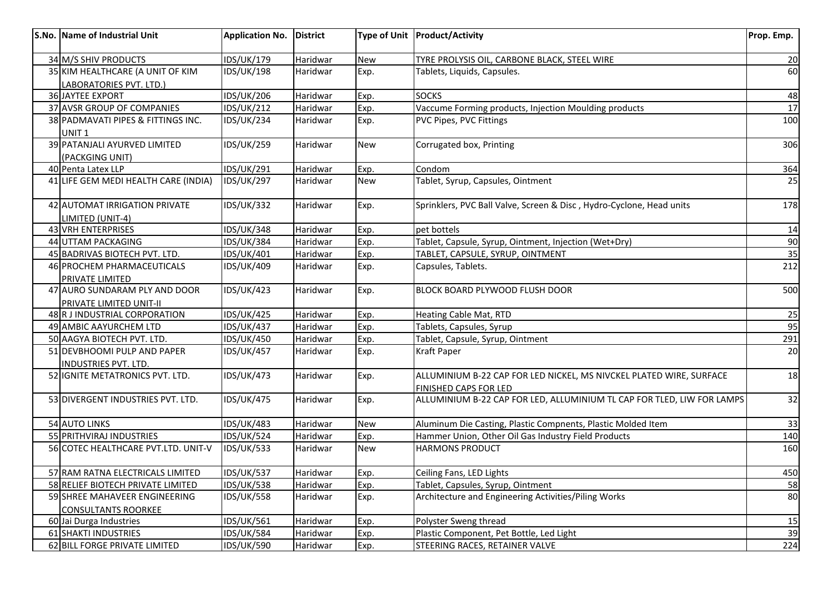| S.No. Name of Industrial Unit                              | <b>Application No.</b> | <b>District</b> |            | Type of Unit   Product/Activity                                                              | Prop. Emp. |
|------------------------------------------------------------|------------------------|-----------------|------------|----------------------------------------------------------------------------------------------|------------|
| 34 M/S SHIV PRODUCTS                                       | IDS/UK/179             | Haridwar        | <b>New</b> | TYRE PROLYSIS OIL, CARBONE BLACK, STEEL WIRE                                                 | 20         |
| 35 KIM HEALTHCARE (A UNIT OF KIM                           | <b>IDS/UK/198</b>      | Haridwar        | Exp.       | Tablets, Liquids, Capsules.                                                                  | 60         |
| LABORATORIES PVT. LTD.)                                    |                        |                 |            |                                                                                              |            |
| <b>36 JAYTEE EXPORT</b>                                    | <b>IDS/UK/206</b>      | Haridwar        | Exp.       | <b>SOCKS</b>                                                                                 | 48         |
| 37 AVSR GROUP OF COMPANIES                                 | <b>IDS/UK/212</b>      | Haridwar        | Exp.       | Vaccume Forming products, Injection Moulding products                                        | 17         |
| 38 PADMAVATI PIPES & FITTINGS INC.<br>UNIT <sub>1</sub>    | <b>IDS/UK/234</b>      | Haridwar        | Exp.       | PVC Pipes, PVC Fittings                                                                      | 100        |
| 39 PATANJALI AYURVED LIMITED<br>(PACKGING UNIT)            | <b>IDS/UK/259</b>      | Haridwar        | <b>New</b> | Corrugated box, Printing                                                                     | 306        |
| 40 Penta Latex LLP                                         | <b>IDS/UK/291</b>      | Haridwar        | Exp.       | Condom                                                                                       | 364        |
| 41 LIFE GEM MEDI HEALTH CARE (INDIA)                       | <b>IDS/UK/297</b>      | Haridwar        | <b>New</b> | Tablet, Syrup, Capsules, Ointment                                                            | 25         |
| 42 AUTOMAT IRRIGATION PRIVATE<br>LIMITED (UNIT-4)          | <b>IDS/UK/332</b>      | Haridwar        | Exp.       | Sprinklers, PVC Ball Valve, Screen & Disc, Hydro-Cyclone, Head units                         | 178        |
| 43 VRH ENTERPRISES                                         | <b>IDS/UK/348</b>      | Haridwar        | Exp.       | pet bottels                                                                                  | 14         |
| 44 UTTAM PACKAGING                                         | <b>IDS/UK/384</b>      | Haridwar        | Exp.       | Tablet, Capsule, Syrup, Ointment, Injection (Wet+Dry)                                        | 90         |
| 45 BADRIVAS BIOTECH PVT. LTD.                              | IDS/UK/401             | Haridwar        | Exp.       | TABLET, CAPSULE, SYRUP, OINTMENT                                                             | 35         |
| 46 PROCHEM PHARMACEUTICALS                                 | IDS/UK/409             | Haridwar        | Exp.       | Capsules, Tablets.                                                                           | 212        |
| PRIVATE LIMITED                                            |                        |                 |            |                                                                                              |            |
| 47 AURO SUNDARAM PLY AND DOOR<br>PRIVATE LIMITED UNIT-II   | <b>IDS/UK/423</b>      | Haridwar        | Exp.       | BLOCK BOARD PLYWOOD FLUSH DOOR                                                               | 500        |
| 48 R J INDUSTRIAL CORPORATION                              | <b>IDS/UK/425</b>      | Haridwar        | Exp.       | Heating Cable Mat, RTD                                                                       | 25         |
| 49 AMBIC AAYURCHEM LTD                                     | <b>IDS/UK/437</b>      | Haridwar        | Exp.       | Tablets, Capsules, Syrup                                                                     | 95         |
| 50 AAGYA BIOTECH PVT. LTD.                                 | <b>IDS/UK/450</b>      | Haridwar        | Exp.       | Tablet, Capsule, Syrup, Ointment                                                             | 291        |
| 51 DEVBHOOMI PULP AND PAPER<br><b>INDUSTRIES PVT. LTD.</b> | <b>IDS/UK/457</b>      | Haridwar        | Exp.       | <b>Kraft Paper</b>                                                                           | 20         |
| 52 IGNITE METATRONICS PVT. LTD.                            | <b>IDS/UK/473</b>      | Haridwar        | Exp.       | ALLUMINIUM B-22 CAP FOR LED NICKEL, MS NIVCKEL PLATED WIRE, SURFACE<br>FINISHED CAPS FOR LED | 18         |
| 53 DIVERGENT INDUSTRIES PVT. LTD.                          | <b>IDS/UK/475</b>      | Haridwar        | Exp.       | ALLUMINIUM B-22 CAP FOR LED, ALLUMINIUM TL CAP FOR TLED, LIW FOR LAMPS                       | 32         |
| 54 AUTO LINKS                                              | <b>IDS/UK/483</b>      | Haridwar        | <b>New</b> | Aluminum Die Casting, Plastic Compnents, Plastic Molded Item                                 | 33         |
| 55 PRITHVIRAJ INDUSTRIES                                   | <b>IDS/UK/524</b>      | Haridwar        | Exp.       | Hammer Union, Other Oil Gas Industry Field Products                                          | 140        |
| 56 COTEC HEALTHCARE PVT.LTD. UNIT-V                        | <b>IDS/UK/533</b>      | Haridwar        | <b>New</b> | <b>HARMONS PRODUCT</b>                                                                       | 160        |
| 57 RAM RATNA ELECTRICALS LIMITED                           | <b>IDS/UK/537</b>      | Haridwar        | Exp.       | Ceiling Fans, LED Lights                                                                     | 450        |
| 58 RELIEF BIOTECH PRIVATE LIMITED                          | <b>IDS/UK/538</b>      | Haridwar        | Exp.       | Tablet, Capsules, Syrup, Ointment                                                            | 58         |
| 59 SHREE MAHAVEER ENGINEERING                              | <b>IDS/UK/558</b>      | Haridwar        | Exp.       | Architecture and Engineering Activities/Piling Works                                         | 80         |
| <b>CONSULTANTS ROORKEE</b>                                 |                        |                 |            |                                                                                              |            |
| 60 Jai Durga Industries                                    | IDS/UK/561             | Haridwar        | Exp.       | Polyster Sweng thread                                                                        | 15         |
| 61 SHAKTI INDUSTRIES                                       | IDS/UK/584             | Haridwar        | Exp.       | Plastic Component, Pet Bottle, Led Light                                                     | 39         |
| 62 BILL FORGE PRIVATE LIMITED                              | <b>IDS/UK/590</b>      | Haridwar        | Exp.       | STEERING RACES, RETAINER VALVE                                                               | 224        |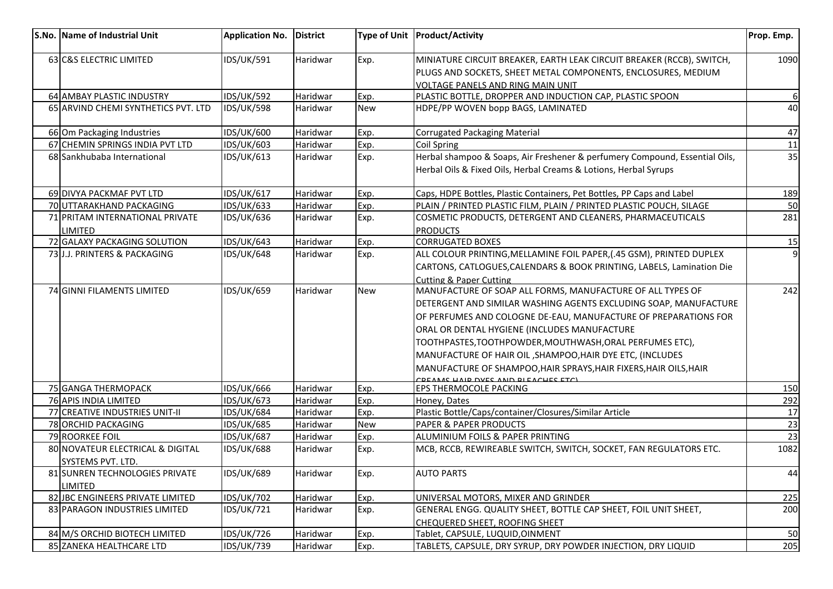| S.No. Name of Industrial Unit          | <b>Application No.</b>                 | <b>District</b>      |            | Type of Unit   Product/Activity                                                                                                                 | Prop. Emp. |
|----------------------------------------|----------------------------------------|----------------------|------------|-------------------------------------------------------------------------------------------------------------------------------------------------|------------|
| 63 C&S ELECTRIC LIMITED                | <b>IDS/UK/591</b>                      | Haridwar             | Exp.       | MINIATURE CIRCUIT BREAKER, EARTH LEAK CIRCUIT BREAKER (RCCB), SWITCH,                                                                           | 1090       |
|                                        |                                        |                      |            | PLUGS AND SOCKETS, SHEET METAL COMPONENTS, ENCLOSURES, MEDIUM                                                                                   |            |
|                                        |                                        |                      |            | <b>VOLTAGE PANELS AND RING MAIN UNIT</b>                                                                                                        |            |
| 64 AMBAY PLASTIC INDUSTRY              | <b>IDS/UK/592</b>                      | Haridwar             | Exp.       | PLASTIC BOTTLE, DROPPER AND INDUCTION CAP, PLASTIC SPOON                                                                                        | 6I         |
| 65 ARVIND CHEMI SYNTHETICS PVT. LTD    | <b>IDS/UK/598</b>                      | Haridwar             | New        | HDPE/PP WOVEN bopp BAGS, LAMINATED                                                                                                              | 40         |
| 66 Om Packaging Industries             | IDS/UK/600                             | Haridwar             | Exp.       | <b>Corrugated Packaging Material</b>                                                                                                            | 47         |
| 67 CHEMIN SPRINGS INDIA PVT LTD        | IDS/UK/603                             | Haridwar             | Exp.       | Coil Spring                                                                                                                                     | 11         |
| 68 Sankhubaba International            | <b>IDS/UK/613</b>                      | Haridwar             | Exp.       | Herbal shampoo & Soaps, Air Freshener & perfumery Compound, Essential Oils,<br>Herbal Oils & Fixed Oils, Herbal Creams & Lotions, Herbal Syrups | 35         |
| 69 DIVYA PACKMAF PVT LTD               | <b>IDS/UK/617</b>                      | Haridwar             | Exp.       | Caps, HDPE Bottles, Plastic Containers, Pet Bottles, PP Caps and Label                                                                          | 189        |
| 70 UTTARAKHAND PACKAGING               | <b>IDS/UK/633</b>                      | Haridwar             | Exp.       | PLAIN / PRINTED PLASTIC FILM, PLAIN / PRINTED PLASTIC POUCH, SILAGE                                                                             | 50         |
| 71 PRITAM INTERNATIONAL PRIVATE        | IDS/UK/636                             | Haridwar             | Exp.       | COSMETIC PRODUCTS, DETERGENT AND CLEANERS, PHARMACEUTICALS                                                                                      | 281        |
| <b>LIMITED</b>                         |                                        |                      |            | <b>PRODUCTS</b>                                                                                                                                 |            |
| 72 GALAXY PACKAGING SOLUTION           | <b>IDS/UK/643</b>                      | Haridwar             | Exp.       | <b>CORRUGATED BOXES</b>                                                                                                                         | 15         |
| 73 J.J. PRINTERS & PACKAGING           | IDS/UK/648                             | Haridwar             | Exp.       | ALL COLOUR PRINTING, MELLAMINE FOIL PAPER, (.45 GSM), PRINTED DUPLEX                                                                            | $\vert$    |
|                                        |                                        |                      |            | CARTONS, CATLOGUES, CALENDARS & BOOK PRINTING, LABELS, Lamination Die                                                                           |            |
|                                        |                                        |                      |            | <b>Cutting &amp; Paper Cutting</b>                                                                                                              |            |
| 74 GINNI FILAMENTS LIMITED             | <b>IDS/UK/659</b>                      | Haridwar             | <b>New</b> | MANUFACTURE OF SOAP ALL FORMS, MANUFACTURE OF ALL TYPES OF                                                                                      | 242        |
|                                        |                                        |                      |            | DETERGENT AND SIMILAR WASHING AGENTS EXCLUDING SOAP, MANUFACTURE                                                                                |            |
|                                        |                                        |                      |            | OF PERFUMES AND COLOGNE DE-EAU, MANUFACTURE OF PREPARATIONS FOR                                                                                 |            |
|                                        |                                        |                      |            | ORAL OR DENTAL HYGIENE (INCLUDES MANUFACTURE                                                                                                    |            |
|                                        |                                        |                      |            | TOOTHPASTES, TOOTHPOWDER, MOUTHWASH, ORAL PERFUMES ETC),                                                                                        |            |
|                                        |                                        |                      |            | MANUFACTURE OF HAIR OIL, SHAMPOO, HAIR DYE ETC, (INCLUDES                                                                                       |            |
|                                        |                                        |                      |            | MANUFACTURE OF SHAMPOO, HAIR SPRAYS, HAIR FIXERS, HAIR OILS, HAIR                                                                               |            |
|                                        |                                        |                      |            | OCAME UAID DVEC AND DIEACUEE ETCH                                                                                                               |            |
| 75 GANGA THERMOPACK                    | <b>IDS/UK/666</b>                      | Haridwar             | Exp.       | EPS THERMOCOLE PACKING                                                                                                                          | 150        |
| 76 APIS INDIA LIMITED                  | <b>IDS/UK/673</b>                      | Haridwar             | Exp.       | Honey, Dates                                                                                                                                    | 292        |
| 77 CREATIVE INDUSTRIES UNIT-II         | <b>IDS/UK/684</b>                      | Haridwar             | Exp.       | Plastic Bottle/Caps/container/Closures/Similar Article                                                                                          | 17         |
| 78 ORCHID PACKAGING<br>79 ROORKEE FOIL | <b>IDS/UK/685</b><br><b>IDS/UK/687</b> | Haridwar<br>Haridwar | <b>New</b> | <b>PAPER &amp; PAPER PRODUCTS</b><br>ALUMINIUM FOILS & PAPER PRINTING                                                                           | 23<br>23   |
| 80 NOVATEUR ELECTRICAL & DIGITAL       | <b>IDS/UK/688</b>                      |                      | Exp.       | MCB, RCCB, REWIREABLE SWITCH, SWITCH, SOCKET, FAN REGULATORS ETC.                                                                               | 1082       |
| SYSTEMS PVT. LTD.                      |                                        | Haridwar             | Exp.       |                                                                                                                                                 |            |
| 81 SUNREN TECHNOLOGIES PRIVATE         | <b>IDS/UK/689</b>                      | Haridwar             | Exp.       | AUTO PARTS                                                                                                                                      | 44         |
| <b>LIMITED</b>                         |                                        |                      |            |                                                                                                                                                 |            |
| 82 JBC ENGINEERS PRIVATE LIMITED       | <b>IDS/UK/702</b>                      | Haridwar             | Exp.       | UNIVERSAL MOTORS, MIXER AND GRINDER                                                                                                             | 225        |
| 83 PARAGON INDUSTRIES LIMITED          | IDS/UK/721                             | Haridwar             | Exp.       | GENERAL ENGG. QUALITY SHEET, BOTTLE CAP SHEET, FOIL UNIT SHEET,                                                                                 | 200        |
|                                        |                                        |                      |            | CHEQUERED SHEET, ROOFING SHEET                                                                                                                  |            |
| 84 M/S ORCHID BIOTECH LIMITED          | <b>IDS/UK/726</b>                      | Haridwar             | Exp.       | Tablet, CAPSULE, LUQUID, OINMENT                                                                                                                | 50         |
| 85 ZANEKA HEALTHCARE LTD               | <b>IDS/UK/739</b>                      | Haridwar             | Exp.       | TABLETS, CAPSULE, DRY SYRUP, DRY POWDER INJECTION, DRY LIQUID                                                                                   | 205        |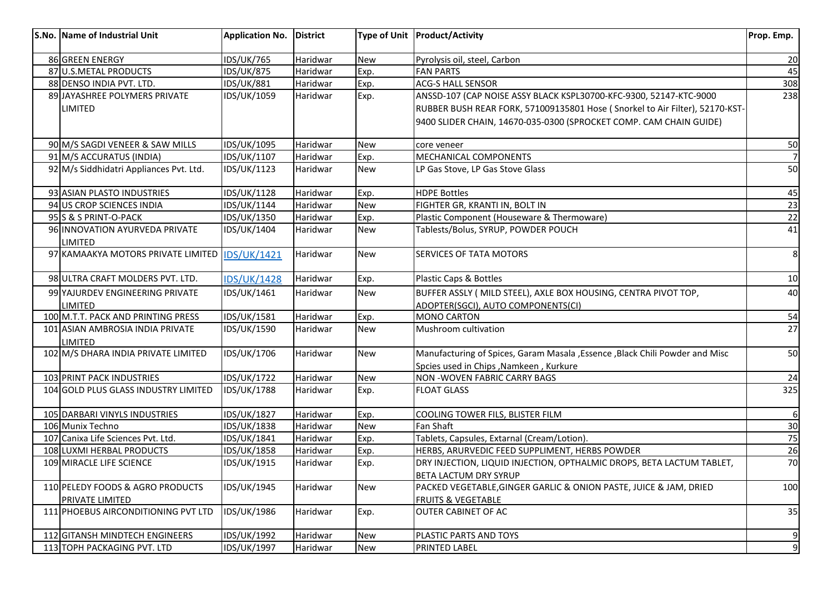| S.No. Name of Industrial Unit                          | <b>Application No.</b> | <b>District</b> |            | Type of Unit   Product/Activity                                               | Prop. Emp.      |
|--------------------------------------------------------|------------------------|-----------------|------------|-------------------------------------------------------------------------------|-----------------|
| 86 GREEN ENERGY                                        | <b>IDS/UK/765</b>      | Haridwar        | <b>New</b> | Pyrolysis oil, steel, Carbon                                                  | 20              |
| 87 U.S.METAL PRODUCTS                                  | <b>IDS/UK/875</b>      | Haridwar        | Exp.       | <b>FAN PARTS</b>                                                              | 45              |
| 88 DENSO INDIA PVT. LTD.                               | <b>IDS/UK/881</b>      | Haridwar        | Exp.       | <b>ACG-S HALL SENSOR</b>                                                      | 308             |
| 89 JAYASHREE POLYMERS PRIVATE                          | IDS/UK/1059            | Haridwar        | Exp.       | ANSSD-107 (CAP NOISE ASSY BLACK KSPL30700-KFC-9300, 52147-KTC-9000            | 238             |
| LIMITED                                                |                        |                 |            | RUBBER BUSH REAR FORK, 571009135801 Hose (Snorkel to Air Filter), 52170-KST-  |                 |
|                                                        |                        |                 |            | 9400 SLIDER CHAIN, 14670-035-0300 (SPROCKET COMP. CAM CHAIN GUIDE)            |                 |
| 90 M/S SAGDI VENEER & SAW MILLS                        | IDS/UK/1095            | Haridwar        | <b>New</b> | core veneer                                                                   | 50              |
| 91 M/S ACCURATUS (INDIA)                               | IDS/UK/1107            | Haridwar        | Exp.       | <b>MECHANICAL COMPONENTS</b>                                                  |                 |
| 92 M/s Siddhidatri Appliances Pvt. Ltd.                | IDS/UK/1123            | Haridwar        | <b>New</b> | LP Gas Stove, LP Gas Stove Glass                                              | 50              |
| 93 ASIAN PLASTO INDUSTRIES                             | IDS/UK/1128            | Haridwar        | Exp.       | <b>HDPE Bottles</b>                                                           | 45              |
| 94 US CROP SCIENCES INDIA                              | IDS/UK/1144            | Haridwar        | <b>New</b> | FIGHTER GR, KRANTI IN, BOLT IN                                                | 23              |
| 95 S & S PRINT-O-PACK                                  | IDS/UK/1350            | Haridwar        | Exp.       | Plastic Component (Houseware & Thermoware)                                    | $\overline{22}$ |
| 96 INNOVATION AYURVEDA PRIVATE<br>LIMITED              | IDS/UK/1404            | Haridwar        | <b>New</b> | Tablests/Bolus, SYRUP, POWDER POUCH                                           | 41              |
| 97 KAMAAKYA MOTORS PRIVATE LIMITED                     | <b>IDS/UK/1421</b>     | Haridwar        | New        | SERVICES OF TATA MOTORS                                                       | 8               |
| 98 ULTRA CRAFT MOLDERS PVT. LTD.                       | <b>IDS/UK/1428</b>     | Haridwar        | Exp.       | Plastic Caps & Bottles                                                        | 10              |
| 99 YAJURDEV ENGINEERING PRIVATE                        | IDS/UK/1461            | Haridwar        | New        | BUFFER ASSLY ( MILD STEEL), AXLE BOX HOUSING, CENTRA PIVOT TOP,               | 40              |
| LIMITED                                                |                        |                 |            | ADOPTER(SGCI), AUTO COMPONENTS(CI)                                            |                 |
| 100 M.T.T. PACK AND PRINTING PRESS                     | <b>IDS/UK/1581</b>     | Haridwar        | Exp.       | <b>MONO CARTON</b>                                                            | 54              |
| 101 ASIAN AMBROSIA INDIA PRIVATE<br><b>LIMITED</b>     | IDS/UK/1590            | Haridwar        | <b>New</b> | Mushroom cultivation                                                          | 27              |
| 102 M/S DHARA INDIA PRIVATE LIMITED                    | IDS/UK/1706            | Haridwar        | <b>New</b> | Manufacturing of Spices, Garam Masala , Essence , Black Chili Powder and Misc | 50              |
| 103 PRINT PACK INDUSTRIES                              | IDS/UK/1722            | Haridwar        | <b>New</b> | Spcies used in Chips , Namkeen, Kurkure<br>NON - WOVEN FABRIC CARRY BAGS      | 24              |
| 104 GOLD PLUS GLASS INDUSTRY LIMITED                   | IDS/UK/1788            | Haridwar        | Exp.       | <b>FLOAT GLASS</b>                                                            | 325             |
|                                                        |                        |                 |            |                                                                               |                 |
| 105 DARBARI VINYLS INDUSTRIES                          | <b>IDS/UK/1827</b>     | Haridwar        | Exp.       | COOLING TOWER FILS, BLISTER FILM                                              | 6               |
| 106 Munix Techno                                       | IDS/UK/1838            | Haridwar        | <b>New</b> | Fan Shaft                                                                     | 30              |
| 107 Canixa Life Sciences Pvt. Ltd.                     | <b>IDS/UK/1841</b>     | Haridwar        | Exp.       | Tablets, Capsules, Extarnal (Cream/Lotion).                                   | $\frac{75}{26}$ |
| 108 LUXMI HERBAL PRODUCTS                              | <b>IDS/UK/1858</b>     | Haridwar        | Exp.       | HERBS, ARURVEDIC FEED SUPPLIMENT, HERBS POWDER                                |                 |
| 109 MIRACLE LIFE SCIENCE                               | IDS/UK/1915            | Haridwar        | Exp.       | DRY INJECTION, LIQUID INJECTION, OPTHALMIC DROPS, BETA LACTUM TABLET,         | 70              |
|                                                        |                        |                 |            | <b>BETA LACTUM DRY SYRUP</b>                                                  |                 |
| 110 PELEDY FOODS & AGRO PRODUCTS                       | <b>IDS/UK/1945</b>     | Haridwar        | <b>New</b> | PACKED VEGETABLE, GINGER GARLIC & ONION PASTE, JUICE & JAM, DRIED             | 100             |
| PRIVATE LIMITED<br>111 PHOEBUS AIRCONDITIONING PVT LTD |                        |                 |            | <b>FRUITS &amp; VEGETABLE</b>                                                 |                 |
|                                                        | IDS/UK/1986            | Haridwar        | Exp.       | <b>OUTER CABINET OF AC</b>                                                    | 35              |
| 112 GITANSH MINDTECH ENGINEERS                         | IDS/UK/1992            | Haridwar        | <b>New</b> | PLASTIC PARTS AND TOYS                                                        | 9               |
| 113 TOPH PACKAGING PVT. LTD                            | IDS/UK/1997            | Haridwar        | <b>New</b> | PRINTED LABEL                                                                 | 9               |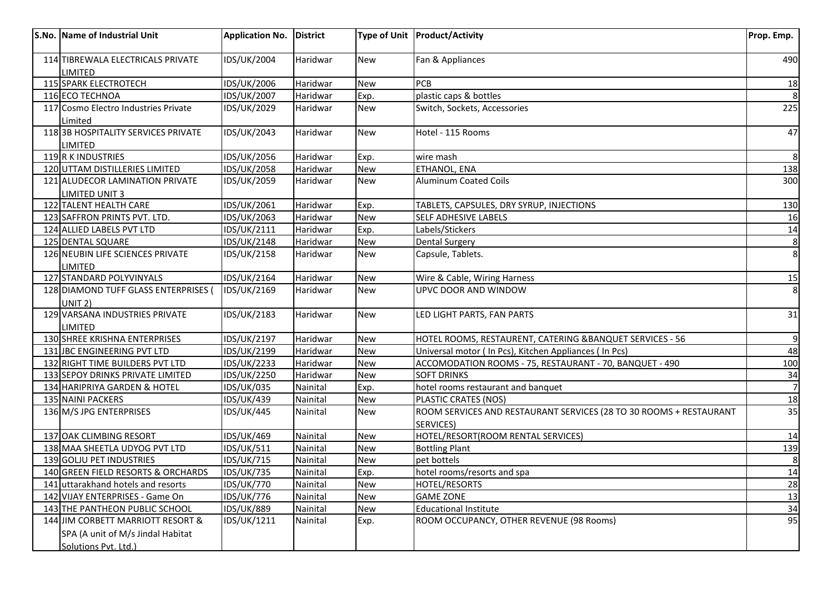| S.No. Name of Industrial Unit        | <b>Application No.</b> | <b>District</b> |            | Type of Unit   Product/Activity                                    | Prop. Emp. |
|--------------------------------------|------------------------|-----------------|------------|--------------------------------------------------------------------|------------|
| 114 TIBREWALA ELECTRICALS PRIVATE    | IDS/UK/2004            | Haridwar        | <b>New</b> | Fan & Appliances                                                   | 490        |
| LIMITED                              |                        |                 |            |                                                                    |            |
| 115 SPARK ELECTROTECH                | IDS/UK/2006            | Haridwar        | <b>New</b> | <b>PCB</b>                                                         | <u>18</u>  |
| 116 ECO TECHNOA                      | IDS/UK/2007            | Haridwar        | Exp.       | plastic caps & bottles                                             |            |
| 117 Cosmo Electro Industries Private | IDS/UK/2029            | Haridwar        | New        | Switch, Sockets, Accessories                                       | 225        |
| Limited                              |                        |                 |            |                                                                    |            |
| 1183B HOSPITALITY SERVICES PRIVATE   | IDS/UK/2043            | Haridwar        | New        | Hotel - 115 Rooms                                                  | 47         |
| <b>LIMITED</b>                       |                        |                 |            |                                                                    |            |
| 119 R K INDUSTRIES                   | IDS/UK/2056            | Haridwar        | Exp.       | wire mash                                                          |            |
| 120 UTTAM DISTILLERIES LIMITED       | IDS/UK/2058            | Haridwar        | <b>New</b> | ETHANOL, ENA                                                       | 138        |
| 121 ALUDECOR LAMINATION PRIVATE      | IDS/UK/2059            | Haridwar        | <b>New</b> | <b>Aluminum Coated Coils</b>                                       | 300        |
| <b>LIMITED UNIT 3</b>                |                        |                 |            |                                                                    |            |
| 122 TALENT HEALTH CARE               | IDS/UK/2061            | Haridwar        | Exp.       | TABLETS, CAPSULES, DRY SYRUP, INJECTIONS                           | 130        |
| 123 SAFFRON PRINTS PVT. LTD.         | IDS/UK/2063            | Haridwar        | <b>New</b> | SELF ADHESIVE LABELS                                               | 16         |
| 124 ALLIED LABELS PVT LTD            | IDS/UK/2111            | Haridwar        | Exp.       | Labels/Stickers                                                    | 14         |
| 125 DENTAL SQUARE                    | IDS/UK/2148            | Haridwar        | <b>New</b> | <b>Dental Surgery</b>                                              | 8          |
| 126 NEUBIN LIFE SCIENCES PRIVATE     | IDS/UK/2158            | Haridwar        | <b>New</b> | Capsule, Tablets.                                                  | 8          |
| LIMITED                              |                        |                 |            |                                                                    |            |
| 127 STANDARD POLYVINYALS             | IDS/UK/2164            | Haridwar        | <b>New</b> | Wire & Cable, Wiring Harness                                       | 15         |
| 128 DIAMOND TUFF GLASS ENTERPRISES ( | IDS/UK/2169            | Haridwar        | <b>New</b> | UPVC DOOR AND WINDOW                                               | 8          |
| UNIT 2)                              |                        |                 |            |                                                                    |            |
| 129 VARSANA INDUSTRIES PRIVATE       | IDS/UK/2183            | Haridwar        | <b>New</b> | LED LIGHT PARTS, FAN PARTS                                         | 31         |
| LIMITED                              |                        |                 |            |                                                                    |            |
| 130 SHREE KRISHNA ENTERPRISES        | IDS/UK/2197            | Haridwar        | <b>New</b> | HOTEL ROOMS, RESTAURENT, CATERING &BANQUET SERVICES - 56           | 9          |
| 131 JBC ENGINEERING PVT LTD          | IDS/UK/2199            | Haridwar        | New        | Universal motor (In Pcs), Kitchen Appliances (In Pcs)              | 48         |
| 132 RIGHT TIME BUILDERS PVT LTD      | <b>IDS/UK/2233</b>     | Haridwar        | <b>New</b> | ACCOMODATION ROOMS - 75, RESTAURANT - 70, BANQUET - 490            | 100        |
| 133 SEPOY DRINKS PRIVATE LIMITED     | IDS/UK/2250            | Haridwar        | New        | <b>SOFT DRINKS</b>                                                 | 34         |
| 134 HARIPRIYA GARDEN & HOTEL         | <b>IDS/UK/035</b>      | Nainital        | Exp.       | hotel rooms restaurant and banquet                                 |            |
| 135 NAINI PACKERS                    | <b>IDS/UK/439</b>      | Nainital        | New        | PLASTIC CRATES (NOS)                                               | 18         |
| 136 M/S JPG ENTERPRISES              | <b>IDS/UK/445</b>      | Nainital        | <b>New</b> | ROOM SERVICES AND RESTAURANT SERVICES (28 TO 30 ROOMS + RESTAURANT | 35         |
|                                      |                        |                 |            | <b>SERVICES)</b>                                                   |            |
| 137 OAK CLIMBING RESORT              | <b>IDS/UK/469</b>      | Nainital        | <b>New</b> | HOTEL/RESORT(ROOM RENTAL SERVICES)                                 | 14         |
| 138 MAA SHEETLA UDYOG PVT LTD        | <b>IDS/UK/511</b>      | Nainital        | <b>New</b> | <b>Bottling Plant</b>                                              | 139        |
| 139 GOLJU PET INDUSTRIES             | <b>IDS/UK/715</b>      | Nainital        | <b>New</b> | pet bottels                                                        | 8          |
| 140 GREEN FIELD RESORTS & ORCHARDS   | <b>IDS/UK/735</b>      | Nainital        | Exp.       | hotel rooms/resorts and spa                                        | 14         |
| 141 uttarakhand hotels and resorts   | <b>IDS/UK/770</b>      | Nainital        | <b>New</b> | <b>HOTEL/RESORTS</b>                                               | 28         |
| 142 VIJAY ENTERPRISES - Game On      | <b>IDS/UK/776</b>      | Nainital        | <b>New</b> | <b>GAME ZONE</b>                                                   | 13         |
| 143 THE PANTHEON PUBLIC SCHOOL       | IDS/UK/889             | Nainital        | <b>New</b> | <b>Educational Institute</b>                                       | 34         |
| 144 JIM CORBETT MARRIOTT RESORT &    | IDS/UK/1211            | Nainital        | Exp.       | ROOM OCCUPANCY, OTHER REVENUE (98 Rooms)                           | 95         |
| SPA (A unit of M/s Jindal Habitat    |                        |                 |            |                                                                    |            |
| Solutions Pvt. Ltd.)                 |                        |                 |            |                                                                    |            |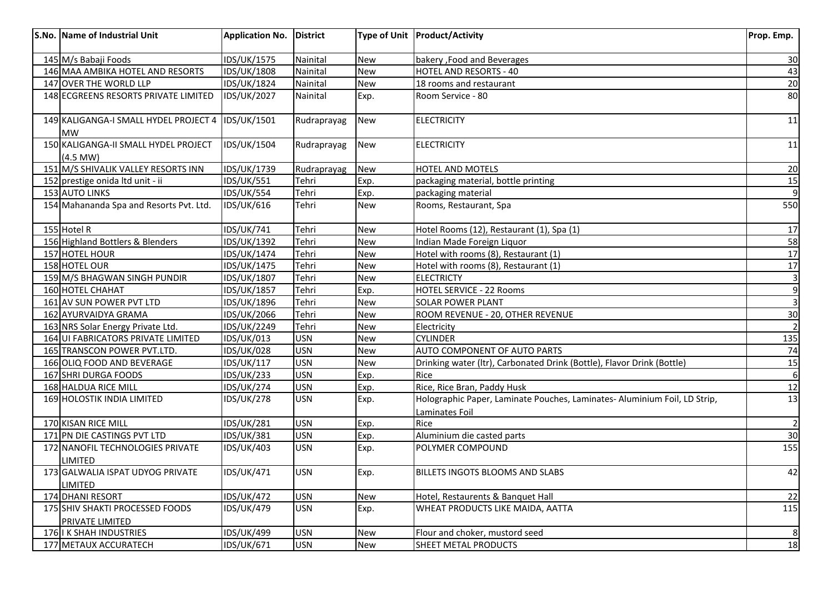| S.No. Name of Industrial Unit                         | <b>Application No.</b> | District    |            | Type of Unit   Product/Activity                                                             | Prop. Emp.              |
|-------------------------------------------------------|------------------------|-------------|------------|---------------------------------------------------------------------------------------------|-------------------------|
| 145 M/s Babaji Foods                                  | IDS/UK/1575            | Nainital    | <b>New</b> | bakery, Food and Beverages                                                                  | 30                      |
| 146 MAA AMBIKA HOTEL AND RESORTS                      | IDS/UK/1808            | Nainital    | <b>New</b> | <b>HOTEL AND RESORTS - 40</b>                                                               | 43                      |
| 147 OVER THE WORLD LLP                                | IDS/UK/1824            | Nainital    | <b>New</b> | 18 rooms and restaurant                                                                     | $\overline{20}$         |
| 148 ECGREENS RESORTS PRIVATE LIMITED                  | <b>IDS/UK/2027</b>     | Nainital    | Exp.       | Room Service - 80                                                                           | 80                      |
| 149 KALIGANGA-I SMALL HYDEL PROJECT 4<br><b>MW</b>    | IDS/UK/1501            | Rudraprayag | <b>New</b> | <b>ELECTRICITY</b>                                                                          | 11                      |
| 150 KALIGANGA-II SMALL HYDEL PROJECT<br>$(4.5$ MW $)$ | IDS/UK/1504            | Rudraprayag | <b>New</b> | <b>ELECTRICITY</b>                                                                          | 11                      |
| 151 M/S SHIVALIK VALLEY RESORTS INN                   | IDS/UK/1739            | Rudraprayag | <b>New</b> | HOTEL AND MOTELS                                                                            | 20                      |
| 152 prestige onida Itd unit - ii                      | <b>IDS/UK/551</b>      | Tehri       | Exp.       | packaging material, bottle printing                                                         | 15                      |
| 153 AUTO LINKS                                        | <b>IDS/UK/554</b>      | Tehri       | Exp.       | packaging material                                                                          |                         |
| 154 Mahananda Spa and Resorts Pvt. Ltd.               | IDS/UK/616             | Tehri       | <b>New</b> | Rooms, Restaurant, Spa                                                                      | 550                     |
| 155 Hotel R                                           | <b>IDS/UK/741</b>      | Tehri       | <b>New</b> | Hotel Rooms (12), Restaurant (1), Spa (1)                                                   | 17                      |
| 156 Highland Bottlers & Blenders                      | IDS/UK/1392            | Tehri       | <b>New</b> | Indian Made Foreign Liquor                                                                  | 58                      |
| 157 HOTEL HOUR                                        | IDS/UK/1474            | Tehri       | <b>New</b> | Hotel with rooms (8), Restaurant (1)                                                        | 17                      |
| 158 HOTEL OUR                                         | IDS/UK/1475            | Tehri       | <b>New</b> | Hotel with rooms (8), Restaurant (1)                                                        | 17                      |
| 159 M/S BHAGWAN SINGH PUNDIR                          | IDS/UK/1807            | Tehri       | <b>New</b> | <b>ELECTRICTY</b>                                                                           | $\overline{\mathbf{3}}$ |
| 160 HOTEL CHAHAT                                      | IDS/UK/1857            | Tehri       | Exp.       | <b>HOTEL SERVICE - 22 Rooms</b>                                                             | $\overline{9}$          |
| 161 AV SUN POWER PVT LTD                              | IDS/UK/1896            | Tehri       | <b>New</b> | SOLAR POWER PLANT                                                                           | $\overline{3}$          |
| 162 AYURVAIDYA GRAMA                                  | IDS/UK/2066            | Tehri       | <b>New</b> | ROOM REVENUE - 20, OTHER REVENUE                                                            | 30                      |
| 163 NRS Solar Energy Private Ltd.                     | IDS/UK/2249            | Tehri       | <b>New</b> | Electricity                                                                                 |                         |
| 164 UI FABRICATORS PRIVATE LIMITED                    | IDS/UK/013             | <b>USN</b>  | <b>New</b> | <b>CYLINDER</b>                                                                             | <u>135</u>              |
| 165 TRANSCON POWER PVT.LTD.                           | <b>IDS/UK/028</b>      | <b>USN</b>  | <b>New</b> | AUTO COMPONENT OF AUTO PARTS                                                                | 74                      |
| 166 OLIQ FOOD AND BEVERAGE                            | IDS/UK/117             | <b>USN</b>  | <b>New</b> | Drinking water (Itr), Carbonated Drink (Bottle), Flavor Drink (Bottle)                      | 15                      |
| 167 SHRI DURGA FOODS                                  | <b>IDS/UK/233</b>      | <b>USN</b>  | Exp.       | Rice                                                                                        | $\boldsymbol{6}$        |
| 168 HALDUA RICE MILL                                  | <b>IDS/UK/274</b>      | <b>USN</b>  | Exp.       | Rice, Rice Bran, Paddy Husk                                                                 | 12                      |
| 169 HOLOSTIK INDIA LIMITED                            | <b>IDS/UK/278</b>      | <b>USN</b>  | Exp.       | Holographic Paper, Laminate Pouches, Laminates- Aluminium Foil, LD Strip,<br>Laminates Foil | 13                      |
| 170 KISAN RICE MILL                                   | <b>IDS/UK/281</b>      | <b>USN</b>  | Exp.       | Rice                                                                                        | $\overline{2}$          |
| 171 PN DIE CASTINGS PVT LTD                           | <b>IDS/UK/381</b>      | <b>USN</b>  | Exp.       | Aluminium die casted parts                                                                  | 30                      |
| 172 NANOFIL TECHNOLOGIES PRIVATE<br><b>LIMITED</b>    | <b>IDS/UK/403</b>      | <b>USN</b>  | Exp.       | POLYMER COMPOUND                                                                            | 155                     |
| 173 GALWALIA ISPAT UDYOG PRIVATE<br><b>LIMITED</b>    | <b>IDS/UK/471</b>      | <b>USN</b>  | Exp.       | BILLETS INGOTS BLOOMS AND SLABS                                                             | 42                      |
| 174 DHANI RESORT                                      | <b>IDS/UK/472</b>      | <b>USN</b>  | <b>New</b> | Hotel, Restaurents & Banquet Hall                                                           | 22                      |
| 175 SHIV SHAKTI PROCESSED FOODS<br>PRIVATE LIMITED    | IDS/UK/479             | <b>USN</b>  | Exp.       | WHEAT PRODUCTS LIKE MAIDA, AATTA                                                            | 115                     |
| 176 I K SHAH INDUSTRIES                               | IDS/UK/499             | <b>USN</b>  | New        | Flour and choker, mustord seed                                                              | 8                       |
| 177 METAUX ACCURATECH                                 | IDS/UK/671             | <b>USN</b>  | <b>New</b> | SHEET METAL PRODUCTS                                                                        | 18                      |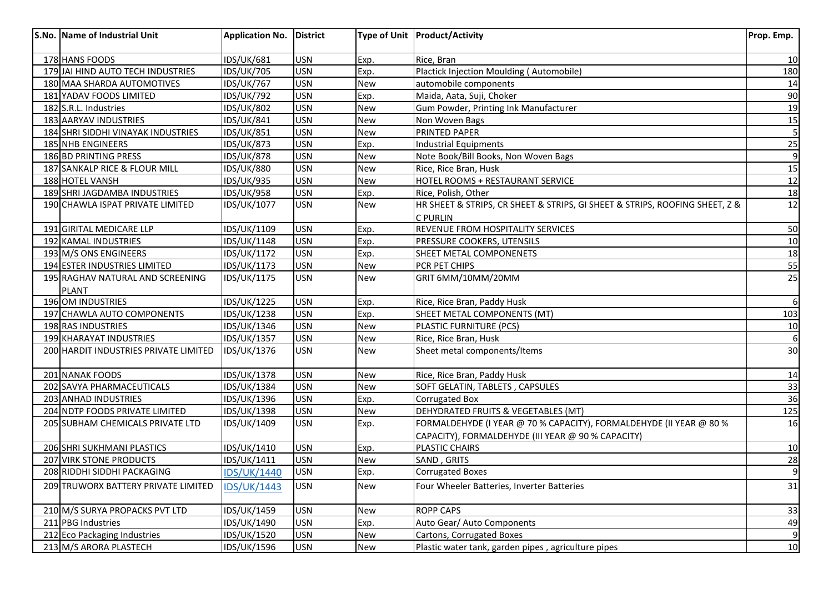| S.No. Name of Industrial Unit         | <b>Application No.</b> | <b>IDistrict</b> |            | Type of Unit   Product/Activity                                             | Prop. Emp.      |
|---------------------------------------|------------------------|------------------|------------|-----------------------------------------------------------------------------|-----------------|
| 178 HANS FOODS                        | <b>IDS/UK/681</b>      | <b>USN</b>       | Exp.       | Rice, Bran                                                                  | 10              |
| 179 JAI HIND AUTO TECH INDUSTRIES     | <b>IDS/UK/705</b>      | <b>USN</b>       | Exp.       | Plactick Injection Moulding (Automobile)                                    | 180             |
| 180 MAA SHARDA AUTOMOTIVES            | <b>IDS/UK/767</b>      | <b>USN</b>       | <b>New</b> | automobile components                                                       | 14              |
| 181 YADAV FOODS LIMITED               | <b>IDS/UK/792</b>      | <b>USN</b>       | Exp.       | Maida, Aata, Suji, Choker                                                   | 90              |
| 182 S.R.L. Industries                 | <b>IDS/UK/802</b>      | <b>USN</b>       | <b>New</b> | Gum Powder, Printing Ink Manufacturer                                       | 19              |
| 183 AARYAV INDUSTRIES                 | <b>IDS/UK/841</b>      | <b>USN</b>       | New        | Non Woven Bags                                                              | <b>15</b>       |
| 184 SHRI SIDDHI VINAYAK INDUSTRIES    | <b>IDS/UK/851</b>      | <b>USN</b>       | New        | PRINTED PAPER                                                               | 5               |
| <b>185 NHB ENGINEERS</b>              | <b>IDS/UK/873</b>      | <b>USN</b>       | Exp.       | <b>Industrial Equipments</b>                                                | 25              |
| 186 BD PRINTING PRESS                 | <b>IDS/UK/878</b>      | <b>USN</b>       | <b>New</b> | Note Book/Bill Books, Non Woven Bags                                        | $\overline{9}$  |
| 187 SANKALP RICE & FLOUR MILL         | <b>IDS/UK/880</b>      | <b>USN</b>       | <b>New</b> | Rice, Rice Bran, Husk                                                       | 15              |
| 188 HOTEL VANSH                       | <b>IDS/UK/935</b>      | <b>USN</b>       | <b>New</b> | HOTEL ROOMS + RESTAURANT SERVICE                                            | $\overline{12}$ |
| 189 SHRI JAGDAMBA INDUSTRIES          | <b>IDS/UK/958</b>      | <b>USN</b>       | Exp.       | Rice, Polish, Other                                                         | 18              |
| 190 CHAWLA ISPAT PRIVATE LIMITED      | IDS/UK/1077            | <b>USN</b>       | <b>New</b> | HR SHEET & STRIPS, CR SHEET & STRIPS, GI SHEET & STRIPS, ROOFING SHEET, Z & | 12              |
|                                       |                        |                  |            | <b>C PURLIN</b>                                                             |                 |
| 191 GIRITAL MEDICARE LLP              | IDS/UK/1109            | <b>USN</b>       | Exp.       | REVENUE FROM HOSPITALITY SERVICES                                           | 50              |
| 192 KAMAL INDUSTRIES                  | IDS/UK/1148            | <b>USN</b>       | Exp.       | PRESSURE COOKERS, UTENSILS                                                  | 10              |
| 193 M/S ONS ENGINEERS                 | IDS/UK/1172            | <b>USN</b>       | Exp.       | SHEET METAL COMPONENETS                                                     | 18              |
| 194 ESTER INDUSTRIES LIMITED          | IDS/UK/1173            | <b>USN</b>       | <b>New</b> | PCR PET CHIPS                                                               | 55              |
| 195 RAGHAV NATURAL AND SCREENING      | IDS/UK/1175            | <b>USN</b>       | <b>New</b> | GRIT 6MM/10MM/20MM                                                          | 25              |
| <b>PLANT</b>                          |                        |                  |            |                                                                             |                 |
| 196 OM INDUSTRIES                     | IDS/UK/1225            | <b>USN</b>       | Exp.       | Rice, Rice Bran, Paddy Husk                                                 | 6               |
| 197 CHAWLA AUTO COMPONENTS            | IDS/UK/1238            | <b>USN</b>       | Exp.       | SHEET METAL COMPONENTS (MT)                                                 | 103             |
| 198 RAS INDUSTRIES                    | IDS/UK/1346            | <b>USN</b>       | <b>New</b> | PLASTIC FURNITURE (PCS)                                                     | 10              |
| 199 KHARAYAT INDUSTRIES               | IDS/UK/1357            | <b>USN</b>       | <b>New</b> | Rice, Rice Bran, Husk                                                       | $\overline{6}$  |
| 200 HARDIT INDUSTRIES PRIVATE LIMITED | IDS/UK/1376            | <b>USN</b>       | <b>New</b> | Sheet metal components/Items                                                | 30              |
| 201 NANAK FOODS                       | IDS/UK/1378            | <b>USN</b>       | New        | Rice, Rice Bran, Paddy Husk                                                 | <u>14</u>       |
| 202 SAVYA PHARMACEUTICALS             | IDS/UK/1384            | <b>USN</b>       | New        | SOFT GELATIN, TABLETS, CAPSULES                                             | 33              |
| 203 ANHAD INDUSTRIES                  | IDS/UK/1396            | <b>USN</b>       | Exp.       | <b>Corrugated Box</b>                                                       | 36              |
| 204 NDTP FOODS PRIVATE LIMITED        | IDS/UK/1398            | <b>USN</b>       | <b>New</b> | DEHYDRATED FRUITS & VEGETABLES (MT)                                         | 125             |
| 205 SUBHAM CHEMICALS PRIVATE LTD      | IDS/UK/1409            | <b>USN</b>       | Exp.       | FORMALDEHYDE (I YEAR @ 70 % CAPACITY), FORMALDEHYDE (II YEAR @ 80 %         | 16              |
|                                       |                        |                  |            | CAPACITY), FORMALDEHYDE (III YEAR @ 90 % CAPACITY)                          |                 |
| 206 SHRI SUKHMANI PLASTICS            | IDS/UK/1410            | <b>USN</b>       | Exp.       | PLASTIC CHAIRS                                                              | 10              |
| 207 VIRK STONE PRODUCTS               | IDS/UK/1411            | <b>USN</b>       | <b>New</b> | SAND, GRITS                                                                 | 28              |
| 208 RIDDHI SIDDHI PACKAGING           | <b>IDS/UK/1440</b>     | <b>USN</b>       | Exp.       | <b>Corrugated Boxes</b>                                                     | $\overline{9}$  |
| 209 TRUWORX BATTERY PRIVATE LIMITED   | <b>IDS/UK/1443</b>     | <b>USN</b>       | <b>New</b> | Four Wheeler Batteries, Inverter Batteries                                  | 31              |
| 210 M/S SURYA PROPACKS PVT LTD        | IDS/UK/1459            | <b>USN</b>       | <b>New</b> | <b>ROPP CAPS</b>                                                            | 33              |
| 211 PBG Industries                    | IDS/UK/1490            | <b>USN</b>       | Exp.       | Auto Gear/ Auto Components                                                  | 49              |
| 212 Eco Packaging Industries          | IDS/UK/1520            | <b>USN</b>       | <b>New</b> | Cartons, Corrugated Boxes                                                   | $\overline{9}$  |
| 213 M/S ARORA PLASTECH                | <b>IDS/UK/1596</b>     | <b>USN</b>       | New        | Plastic water tank, garden pipes, agriculture pipes                         | 10              |